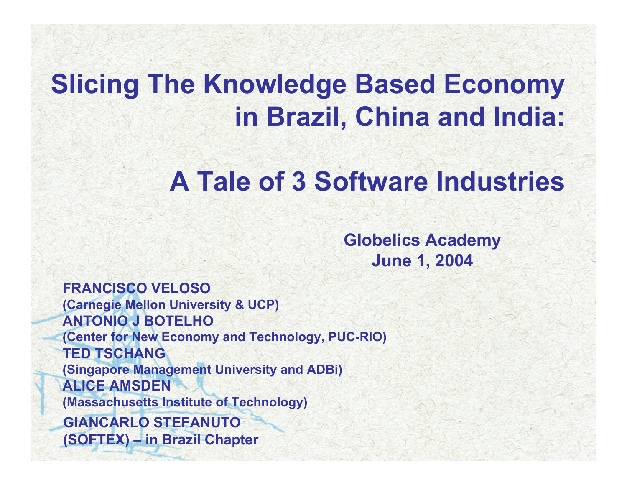## **Slicing The Knowledge Based Economy in Brazil, China and India:**

### **A Tale of 3 Software Industries**

**Globelics Academy June 1, 2004**

**FRANCISCO VELOSO (Carnegie Mellon University & UCP) ANTONIO J BOTELHO(Center for New Economy and Technology, PUC-RIO) TED TSCHANG(Singapore Management University and ADBi) ALICE AMSDEN (Massachusetts Institute of Technology) GIANCARLO STEFANUTO(SOFTEX) – in Brazil Chapter**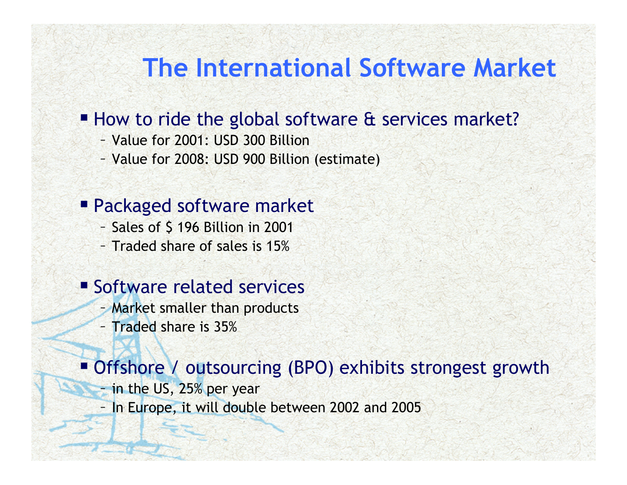### **The International Software Market**

#### ■ How to ride the global software & services market?

- Value for 2001: USD 300 Billion
- Value for 2008: USD 900 Billion (estimate)

#### Packaged software market

- Sales of \$ 196 Billion in 2001
- Traded share of sales is 15%

#### **Software related services**

- Market smaller than products
- Traded share is 35%

#### Offshore / outsourcing (BPO) exhibits strongest growth

- in the US, 25% per year
- In Europe, it will double between 2002 and 2005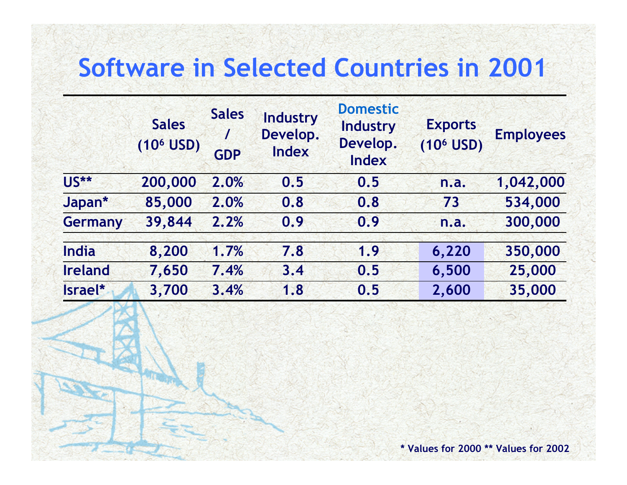### **Software in Selected Countries in 2001**

|                | <b>Sales</b><br>$(106$ USD) | <b>Sales</b><br>$\prime$<br><b>GDP</b> | <b>Industry</b><br>Develop.<br>Index | <b>Domestic</b><br><b>Industry</b><br>Develop.<br><b>Index</b> | <b>Exports</b><br>$(106$ USD) | <b>Employees</b> |
|----------------|-----------------------------|----------------------------------------|--------------------------------------|----------------------------------------------------------------|-------------------------------|------------------|
| <b>US**</b>    | 200,000                     | 2.0%                                   | 0.5                                  | 0.5                                                            | n.a.                          | 1,042,000        |
| Japan*         | 85,000                      | 2.0%                                   | 0.8                                  | 0.8                                                            | 73                            | 534,000          |
| <b>Germany</b> | 39,844                      | 2.2%                                   | 0.9                                  | 0.9                                                            | n.a.                          | 300,000          |
| <b>India</b>   | 8,200                       | 1.7%                                   | 7.8                                  | 1.9                                                            | 6,220                         | 350,000          |
| <b>Ireland</b> | 7,650                       | 7.4%                                   | 3.4                                  | 0.5                                                            | 6,500                         | 25,000           |
| Israel*        | 3,700                       | 3.4%                                   | 1.8                                  | 0.5                                                            | 2,600                         | 35,000           |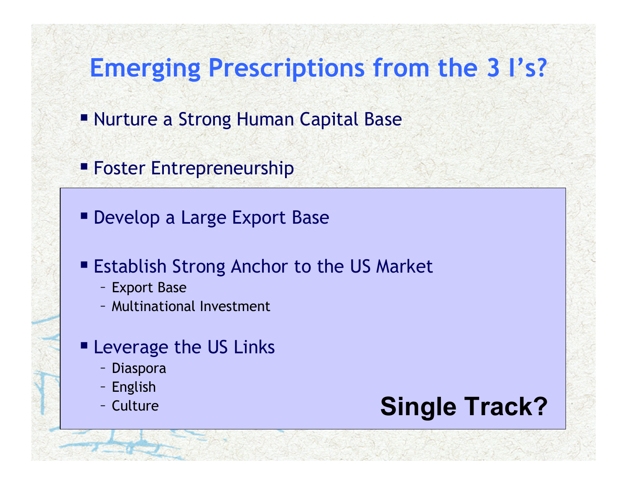### **Emerging Prescriptions from the 3 I's?**

- Nurture a Strong Human Capital Base
- **Foster Entrepreneurship**
- Develop a Large Export Base
- **Establish Strong Anchor to the US Market** 
	- Export Base
	- Multinational Investment
- **Exding Leverage the US Links** 
	- Diaspora
	- English
	- Culture

### **Single Track?**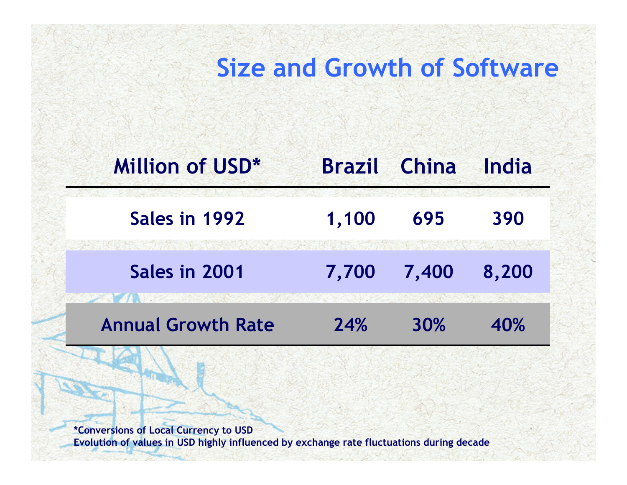### **Size and Growth of Software**

아버지는 일본 기분에 가서 있어?

#### **Million of USD\* Brazil ChinaIndia**

**Sales in 19921,100 695 390**

**Sales in 20017,700 7,400 8,200**

**Annual Growth Rate 24%30% 40%**

**\*Conversions of Local Currency to USD Evolution of values in USD highly influenced by exchange rate fluctuations during decade**

**MARKET AND ARRANGEMENT**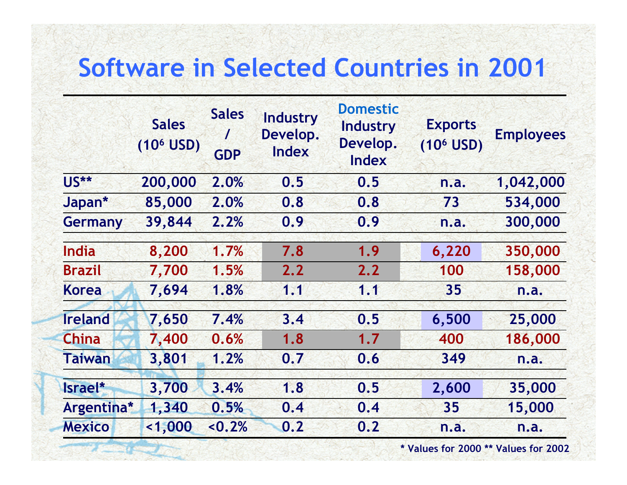### **Software in Selected Countries in 2001**

|                | <b>Sales</b><br>$(106$ USD) | <b>Sales</b><br>$\prime$<br><b>GDP</b> | <b>Industry</b><br>Develop.<br>Index | <b>Domestic</b><br><b>Industry</b><br>Develop.<br><b>Index</b> | <b>Exports</b><br>$(106$ USD) | <b>Employees</b> |
|----------------|-----------------------------|----------------------------------------|--------------------------------------|----------------------------------------------------------------|-------------------------------|------------------|
| <b>US**</b>    | 200,000                     | 2.0%                                   | 0.5                                  | 0.5                                                            | n.a.                          | 1,042,000        |
| Japan*         | 85,000                      | 2.0%                                   | 0.8                                  | 0.8                                                            | 73                            | 534,000          |
| Germany        | 39,844                      | 2.2%                                   | 0.9                                  | 0.9                                                            | n.a.                          | 300,000          |
| <b>India</b>   | 8,200                       | 1.7%                                   | 7.8                                  | 1.9                                                            | 6,220                         | 350,000          |
| <b>Brazil</b>  | 7,700                       | 1.5%                                   | 2.2                                  | 2.2                                                            | 100                           | 158,000          |
| <b>Korea</b>   | 7,694                       | 1.8%                                   | 1.1                                  | 1.1                                                            | 35                            | n.a.             |
| <b>Ireland</b> | 7,650                       | 7.4%                                   | 3.4                                  | 0.5                                                            | 6,500                         | 25,000           |
| <b>China</b>   | 7,400                       | 0.6%                                   | 1.8                                  | 1.7                                                            | 400                           | 186,000          |
| <b>Taiwan</b>  | 3,801                       | 1.2%                                   | 0.7                                  | 0.6                                                            | 349                           | n.a.             |
| Israel*        | 3,700                       | 3.4%                                   | 1.8                                  | 0.5                                                            | 2,600                         | 35,000           |
| Argentina*     | 1,340                       | 0.5%                                   | 0.4                                  | 0.4                                                            | 35                            | 15,000           |
| <b>Mexico</b>  | 1,000                       | < 0.2%                                 | 0.2                                  | 0.2                                                            | n.a.                          | n.a.             |

**\* Values for 2000 \*\* Values for 2002**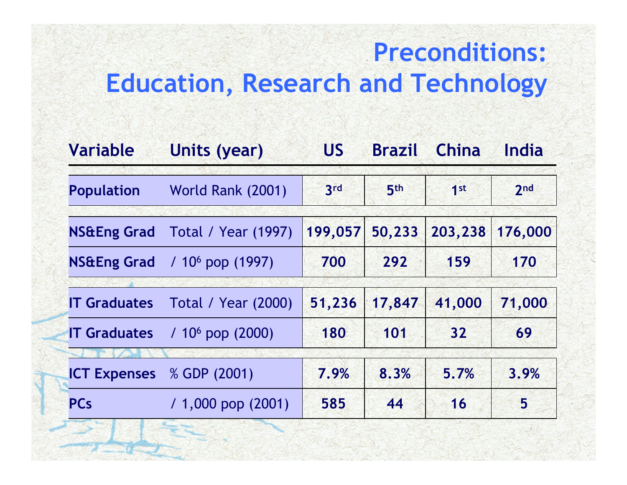### **Preconditions: Education, Research and Technology**

| <b>Variable</b>        | Units (year)               | <b>US</b> | <b>Brazil</b>   | <b>China</b>    | India   |
|------------------------|----------------------------|-----------|-----------------|-----------------|---------|
| <b>Population</b>      | World Rank (2001)          | 3rd       | 5 <sup>th</sup> | 1 <sup>st</sup> | 2nd     |
| <b>NS&amp;Eng Grad</b> | <b>Total / Year (1997)</b> | 199,057   | 50,233          | 203,238         | 176,000 |
| <b>NS&amp;Eng Grad</b> | $/106$ pop (1997)          | 700       | 292             | 159             | 170     |
| <b>IT Graduates</b>    | <b>Total / Year (2000)</b> | 51,236    | 17,847          | 41,000          | 71,000  |
| <b>IT Graduates</b>    | $/106$ pop (2000)          | 180       | 101             | 32              | 69      |
| <b>ICT Expenses</b>    | % GDP (2001)               | 7.9%      | 8.3%            | 5.7%            | 3.9%    |
| <b>PCs</b>             | $/ 1,000$ pop (2001)       | 585       | 44              | 16              | 5       |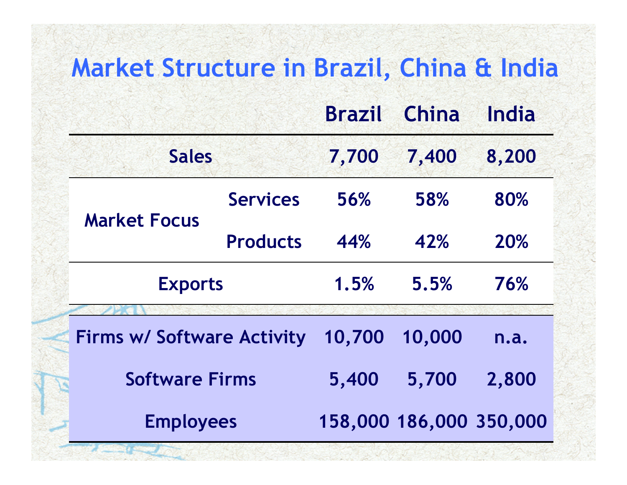### **Market Structure in Brazil, China & India**

|                                   |                 | <b>Brazil</b> | China  | India |
|-----------------------------------|-----------------|---------------|--------|-------|
| <b>Sales</b>                      |                 | 7,700         | 7,400  | 8,200 |
|                                   | <b>Services</b> | 56%           | 58%    | 80%   |
| <b>Market Focus</b>               | <b>Products</b> | 44%           | 42%    | 20%   |
| <b>Exports</b>                    |                 | 1.5%          | 5.5%   | 76%   |
| <b>Firms w/ Software Activity</b> |                 | 10,700        | 10,000 | n.a.  |
| <b>Software Firms</b>             |                 | 5,400         | 5,700  | 2,800 |

**Employees 158,000 186,000 350,000**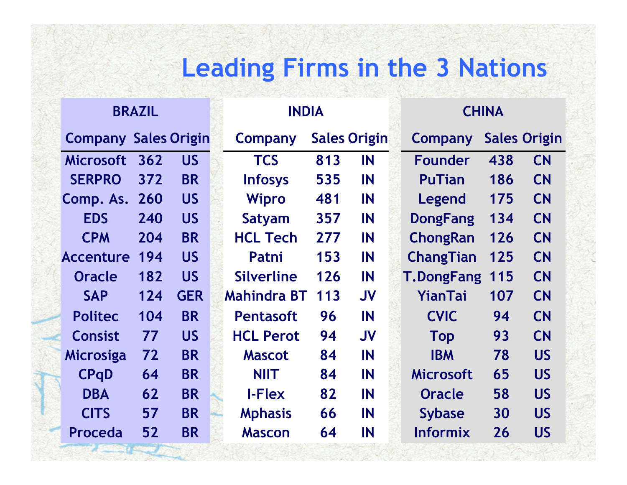### **Leading Firms in the 3 Nations**

|                             | <b>BRAZIL</b> |            | <b>INDIA</b>       |     |                     | <b>CHINA</b> |                   |     |                     |
|-----------------------------|---------------|------------|--------------------|-----|---------------------|--------------|-------------------|-----|---------------------|
| <b>Company Sales Origin</b> |               |            | Company            |     | <b>Sales Origin</b> |              | <b>Company</b>    |     | <b>Sales Origin</b> |
| <b>Microsoft</b>            | 362           | <b>US</b>  | <b>TCS</b>         | 813 | IN                  |              | <b>Founder</b>    | 438 | <b>CN</b>           |
| <b>SERPRO</b>               | 372           | <b>BR</b>  | <b>Infosys</b>     | 535 | IN                  |              | <b>PuTian</b>     | 186 | <b>CN</b>           |
| <b>Comp. As. 260</b>        |               | <b>US</b>  | <b>Wipro</b>       | 481 | IN                  |              | Legend            | 175 | <b>CN</b>           |
| <b>EDS</b>                  | 240           | <b>US</b>  | Satyam             | 357 | IN                  |              | <b>DongFang</b>   | 134 | <b>CN</b>           |
| <b>CPM</b>                  | 204           | <b>BR</b>  | <b>HCL Tech</b>    | 277 | IN                  |              | <b>ChongRan</b>   | 126 | <b>CN</b>           |
| <b>Accenture</b>            | 194           | <b>US</b>  | Patni              | 153 | IN                  |              | <b>ChangTian</b>  | 125 | <b>CN</b>           |
| <b>Oracle</b>               | 182           | <b>US</b>  | <b>Silverline</b>  | 126 | IN                  |              | <b>T.DongFang</b> | 115 | <b>CN</b>           |
| <b>SAP</b>                  | 124           | <b>GER</b> | <b>Mahindra BT</b> | 113 | <b>JV</b>           |              | YianTai           | 107 | <b>CN</b>           |
| <b>Politec</b>              | 104           | <b>BR</b>  | <b>Pentasoft</b>   | 96  | <b>IN</b>           |              | <b>CVIC</b>       | 94  | <b>CN</b>           |
| <b>Consist</b>              | 77            | <b>US</b>  | <b>HCL Perot</b>   | 94  | <b>JV</b>           |              | <b>Top</b>        | 93  | <b>CN</b>           |
| <b>Microsiga</b>            | 72            | <b>BR</b>  | <b>Mascot</b>      | 84  | IN                  |              | <b>IBM</b>        | 78  | <b>US</b>           |
| <b>CPqD</b>                 | 64            | <b>BR</b>  | <b>NIIT</b>        | 84  | IN                  |              | <b>Microsoft</b>  | 65  | <b>US</b>           |
| <b>DBA</b>                  | 62            | <b>BR</b>  | <b>I-Flex</b>      | 82  | IN                  |              | <b>Oracle</b>     | 58  | <b>US</b>           |
| <b>CITS</b>                 | 57            | <b>BR</b>  | <b>Mphasis</b>     | 66  | IN                  |              | <b>Sybase</b>     | 30  | <b>US</b>           |
| Proceda                     | 52            | <b>BR</b>  | <b>Mascon</b>      | 64  | IN                  |              | <b>Informix</b>   | 26  | <b>US</b>           |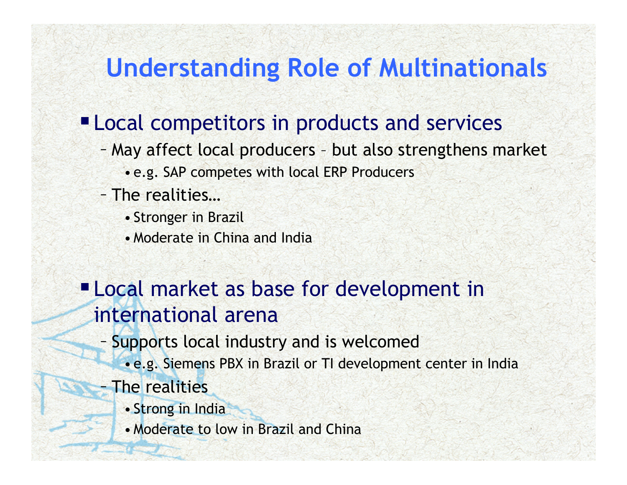### **Understanding Role of Multinationals**

#### **"Local competitors in products and services**

- May affect local producers but also strengthens market
	- e.g. SAP competes with local ERP Producers
- The realities…
	- Stronger in Brazil
	- Moderate in China and India

#### **Local market as base for development in** international arena

- Supports local industry and is welcomed
	- e.g. Siemens PBX in Brazil or TI development center in India
- The realities
	- Strong in India
	- Moderate to low in Brazil and China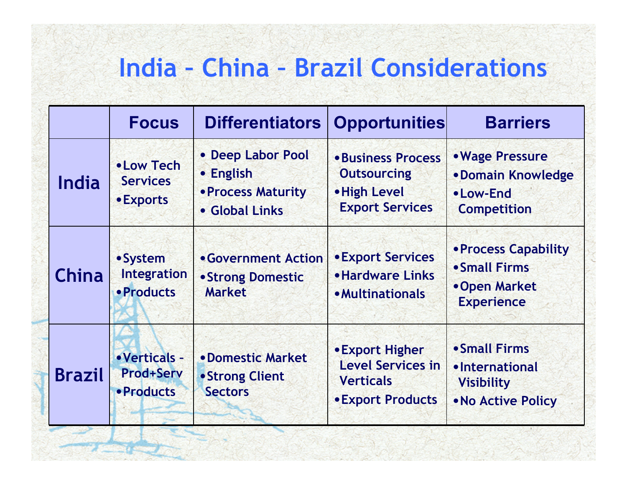### **India – China – Brazil Considerations**

|               | <b>Focus</b>                                           | <b>Differentiators</b>                                                 | <b>Opportunities</b>                                                                        | <b>Barriers</b>                                                            |  |
|---------------|--------------------------------------------------------|------------------------------------------------------------------------|---------------------------------------------------------------------------------------------|----------------------------------------------------------------------------|--|
| <b>India</b>  | • Low Tech<br><b>Services</b><br>• Exports             | • Deep Labor Pool<br>• English<br>• Process Maturity<br>• Global Links | <b>•Business Process</b><br><b>Outsourcing</b><br>• High Level<br><b>Export Services</b>    | • Wage Pressure<br>•Domain Knowledge<br>•Low-End<br><b>Competition</b>     |  |
| <b>China</b>  | • System<br>Integration<br>• Products                  | • Government Action<br>• Strong Domestic<br><b>Market</b>              | <b>• Export Services</b><br><b>• Hardware Links</b><br><b>• Multinationals</b>              | • Process Capability<br>• Small Firms<br>•Open Market<br><b>Experience</b> |  |
| <b>Brazil</b> | • Verticals -<br><b>Prod+Serv</b><br><b>• Products</b> | • Domestic Market<br>• Strong Client<br><b>Sectors</b>                 | • Export Higher<br><b>Level Services in</b><br><b>Verticals</b><br><b>• Export Products</b> | • Small Firms<br>•International<br><b>Visibility</b><br>. No Active Policy |  |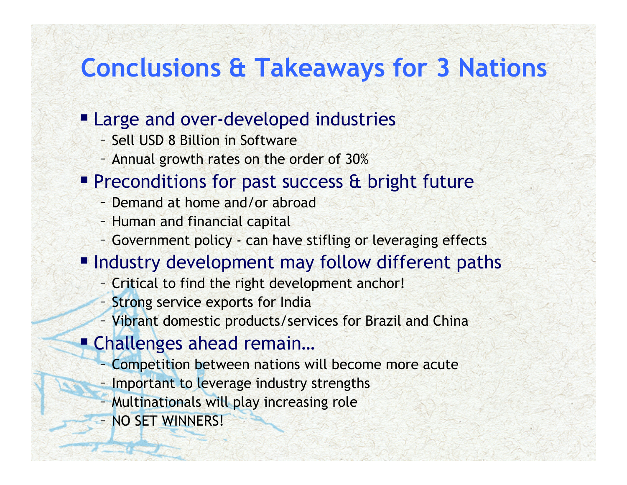### **Conclusions & Takeaways for 3 Nations**

#### **Large and over-developed industries**

- Sell USD 8 Billion in Software
- Annual growth rates on the order of 30%
- **Preconditions for past success & bright future** 
	- Demand at home and/or abroad
	- Human and financial capital
	- Government policy can have stifling or leveraging effects
- **Industry development may follow different paths** 
	- Critical to find the right development anchor!
	- Strong service exports for India
	- Vibrant domestic products/services for Brazil and China
- Challenges ahead remain...
	- Competition between nations will become more acute
	- Important to leverage industry strengths
	- Multinationals will play increasing role
	- NO SET WINNERS!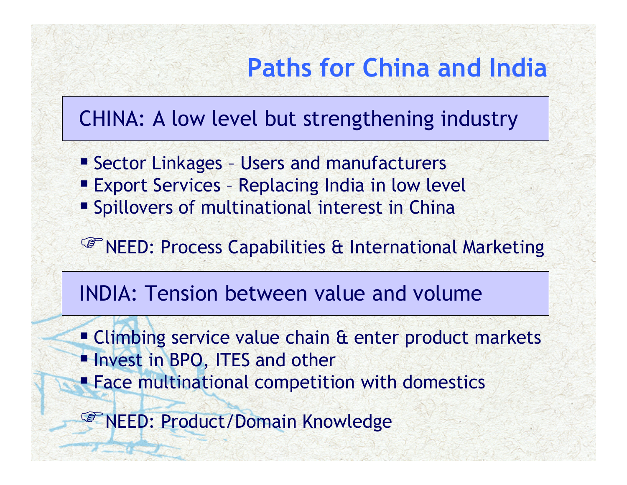### **Paths for China and India**

#### CHINA: A low level but strengthening industry

- Sector Linkages Users and manufacturers
- **Export Services Replacing India in low level**
- **Spillovers of multinational interest in China**

#### <sup>C</sup><sup>e</sup> NEED: Process Capabilities & International Marketing

#### INDIA: Tension between value and volume

**Climbing service value chain & enter product markets Invest in BPO, ITES and other Face multinational competition with domestics** 

*S* NEED: Product/Domain Knowledge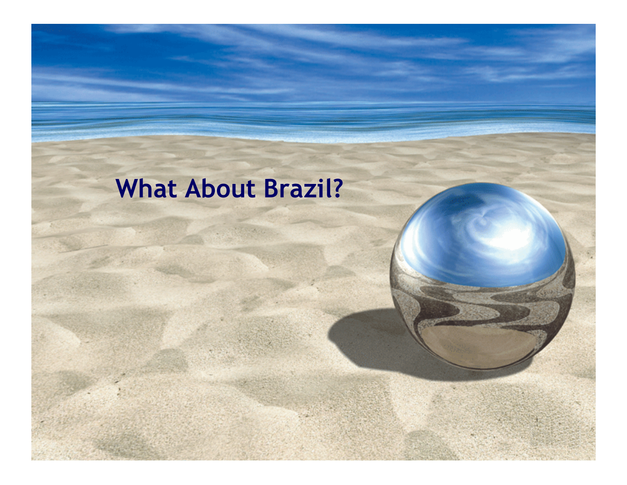# **What About Brazil?**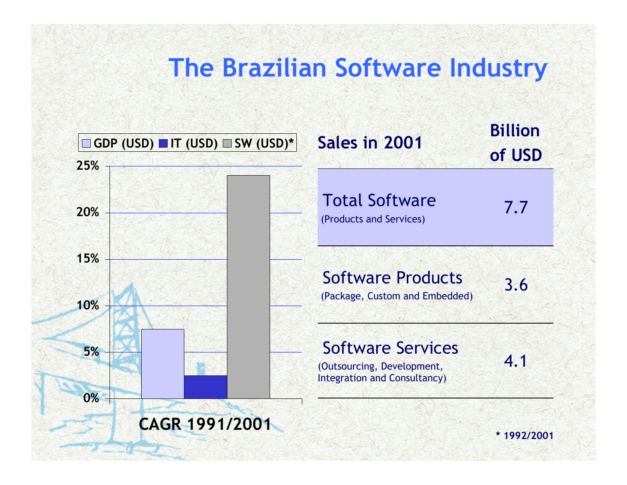### **The Brazilian Software Industry**

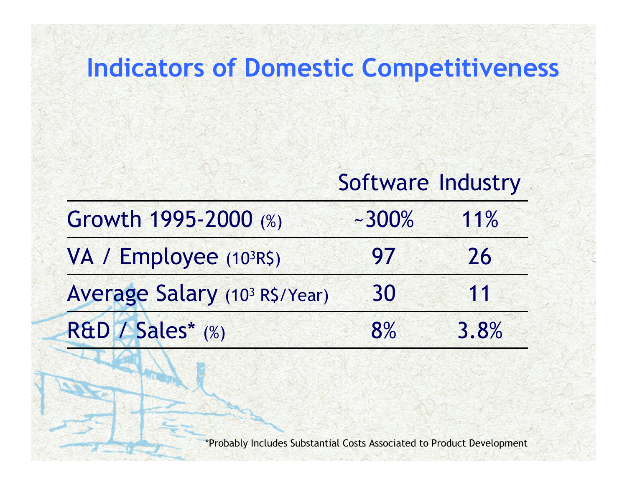#### **Indicators of Domestic Competitiveness**

#### Software| Industry

| Growth 1995-2000 (%)          | $-300%$ | 11%  |  |
|-------------------------------|---------|------|--|
| VA / Employee (103R\$)        | 97      | 26   |  |
| Average Salary (103 R\$/Year) | 30      | 11   |  |
| R&D / Sales* (%)              | 8%      | 3.8% |  |

\*Probably Includes Substantial Costs Associated to Product Development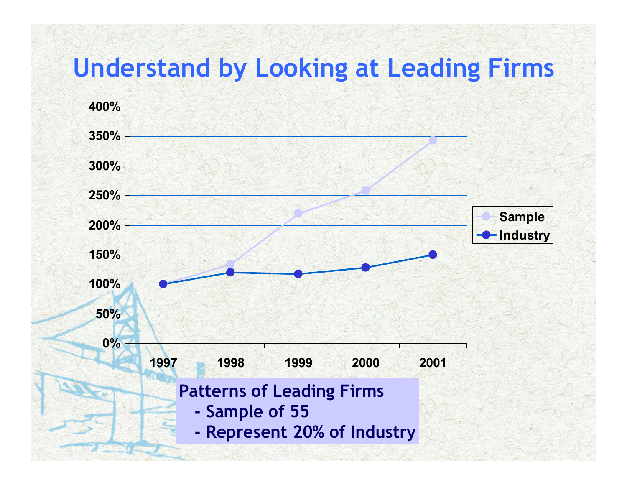### **Understand by Looking at Leading Firms**

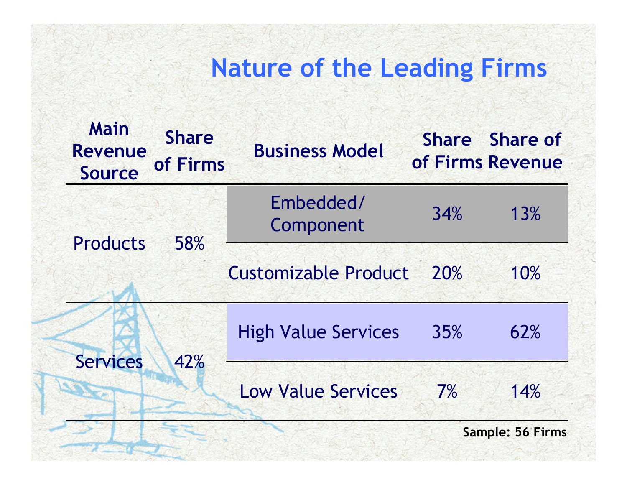### **Nature of the Leading Firms**

| <b>Main</b><br><b>Revenue</b><br><b>Source</b> | <b>Share</b><br>of Firms | <b>Business Model</b>       |     | Share Share of<br>of Firms Revenue |
|------------------------------------------------|--------------------------|-----------------------------|-----|------------------------------------|
| <b>Products</b>                                | 58%                      | Embedded/<br>Component      | 34% | 13%                                |
|                                                |                          | <b>Customizable Product</b> | 20% | 10%                                |
| <b>Services</b>                                | 42%                      | <b>High Value Services</b>  | 35% | 62%                                |
|                                                |                          | <b>Low Value Services</b>   | 7%  | 14%                                |
|                                                |                          |                             |     | <b>Sample: 56 Firms</b>            |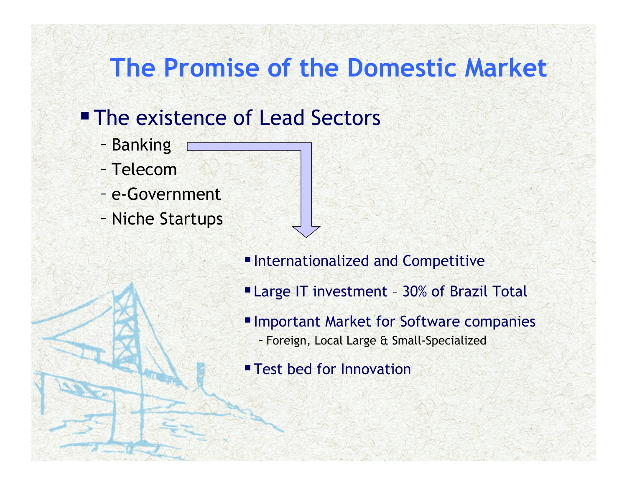### **The Promise of the Domestic Market**

#### **The existence of Lead Sectors**

- Banking
- Telecom
- e-Government
- Niche Startups
- Internationalized and Competitive
- Large IT investment 30% of Brazil Total
- **Important Market for Software companies** 
	- Foreign, Local Large & Small-Specialized
- **Test bed for Innovation**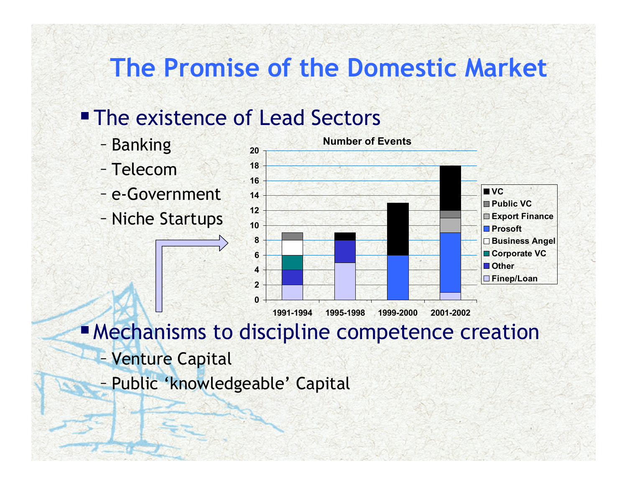### **The Promise of the Domestic Market**

#### **The existence of Lead Sectors**

- Banking
- Telecom
- e-Government
- Niche Startups



**Mechanisms to discipline competence creation** 

- Venture Capital
- Public 'knowledgeable' Capital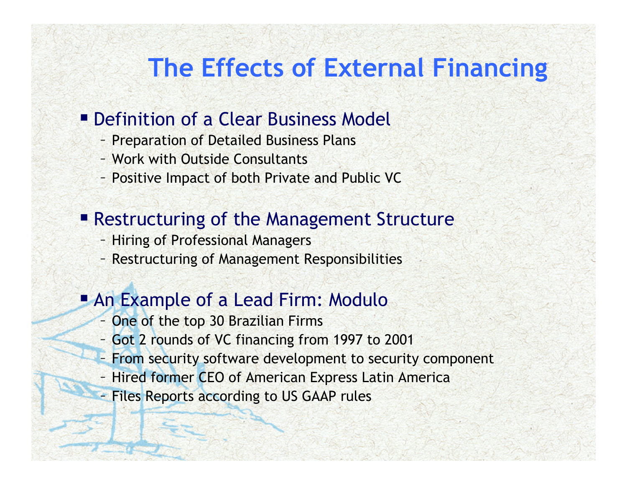### **The Effects of External Financing**

#### **• Definition of a Clear Business Model**

- Preparation of Detailed Business Plans
- Work with Outside Consultants
- Positive Impact of both Private and Public VC

#### **Restructuring of the Management Structure**

- Hiring of Professional Managers
- Restructuring of Management Responsibilities

#### **An Example of a Lead Firm: Modulo**

- One of the top 30 Brazilian Firms
- Got 2 rounds of VC financing from 1997 to 2001
- From security software development to security component
- Hired former CEO of American Express Latin America
- Files Reports according to US GAAP rules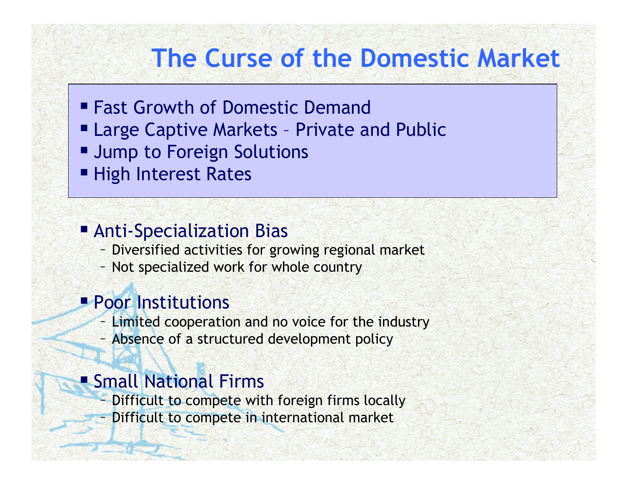### **The Curse of the Domestic Market**

- Fast Growth of Domestic Demand
- Large Captive Markets Private and Public
- **URIGUARY 19 THEORY CONCRYPT PETET ISSUES**
- High Interest Rates

#### **Example 21 Anti-Specialization Bias**

- Diversified activities for growing regional market
- Not specialized work for whole country

#### **Poor Institutions**

- Limited cooperation and no voice for the industry
- Absence of a structured development policy

#### **Small National Firms**

- Difficult to compete with foreign firms locally
- Difficult to compete in international market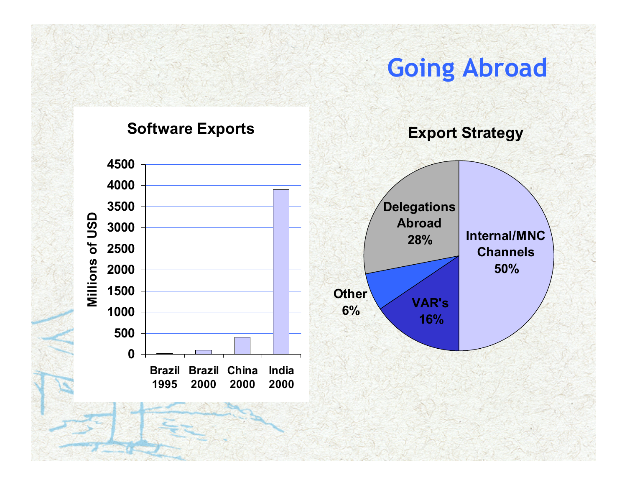#### **Going Abroad**

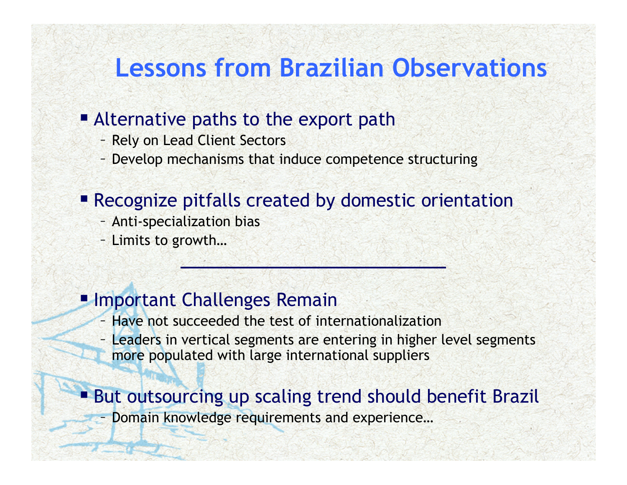### **Lessons from Brazilian Observations**

#### **Alternative paths to the export path**

- Rely on Lead Client Sectors
- Develop mechanisms that induce competence structuring

#### **Recognize pitfalls created by domestic orientation**

- Anti-specialization bias
- Limits to growth…

#### **Important Challenges Remain**

- Have not succeeded the test of internationalization
- Leaders in vertical segments are entering in higher level segments more populated with large international suppliers

#### But outsourcing up scaling trend should benefit Brazil

Domain knowledge requirements and experience…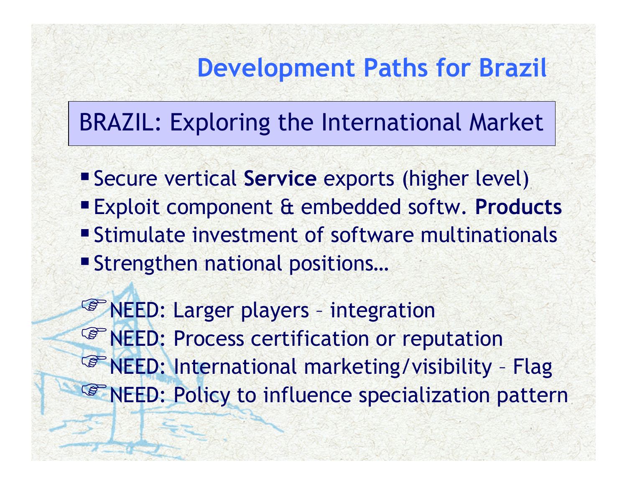### **Development Paths for Brazil**

### BRAZIL: Exploring the International Market

- Secure vertical **Service** exports (higher level)
- Exploit component & embedded softw. **Products** Stimulate investment of software multinationals
- Strengthen national positions…

**<sup>S</sup>** NEED: Larger players - integration <sup>®</sup> NEED: Process certification or reputation **PRINEED: International marketing/visibility - Flag PRINEED: Policy to influence specialization pattern**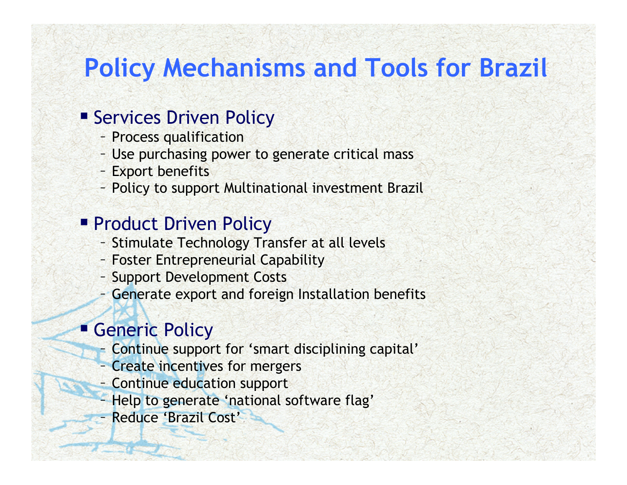### **Policy Mechanisms and Tools for Brazil**

#### **Services Driven Policy**

- Process qualification
- Use purchasing power to generate critical mass
- Export benefits
- Policy to support Multinational investment Brazil

#### **Product Driven Policy**

- Stimulate Technology Transfer at all levels
- Foster Entrepreneurial Capability
- Support Development Costs
- Generate export and foreign Installation benefits

#### **Generic Policy**

- Continue support for 'smart disciplining capital'
- Create incentives for mergers
- Continue education support
- Help to generate 'national software flag'
- Reduce 'Brazil Cost'